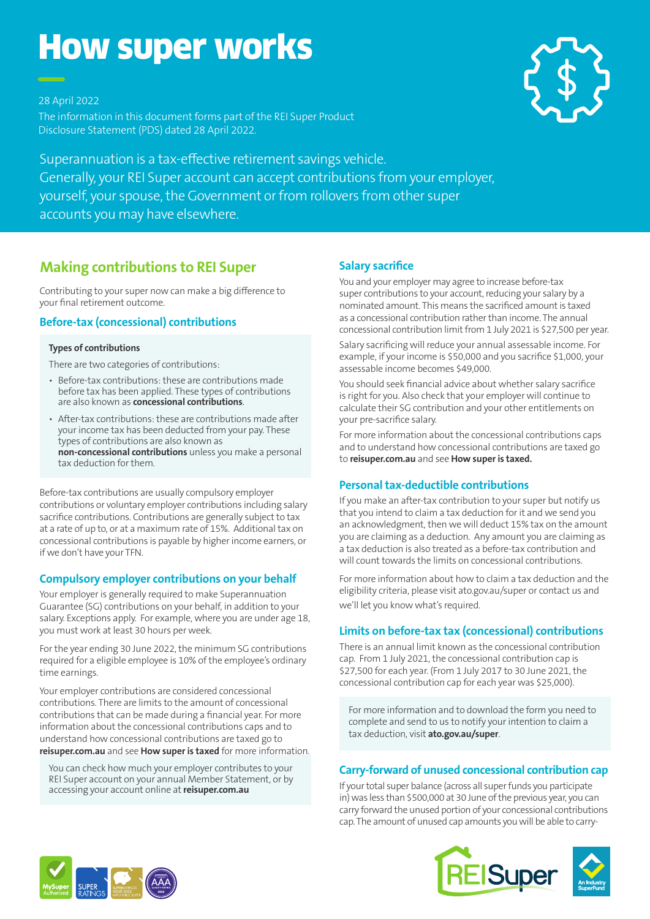# How super works

28 April 2022

The information in this document forms part of the REI Super Product Disclosure Statement (PDS) dated 28 April 2022.



Superannuation is a tax-effective retirement savings vehicle. Generally, your REI Super account can accept contributions from your employer, yourself, your spouse, the Government or from rollovers from other super accounts you may have elsewhere.

## **Making contributions to REI Super**

Contributing to your super now can make a big difference to your final retirement outcome.

#### **Before-tax (concessional) contributions**

#### **Types of contributions**

There are two categories of contributions:

- Before-tax contributions: these are contributions made before tax has been applied. These types of contributions are also known as **concessional contributions**.
- After-tax contributions: these are contributions made after your income tax has been deducted from your pay. These types of contributions are also known as **non-concessional contributions** unless you make a personal tax deduction for them.

Before-tax contributions are usually compulsory employer contributions or voluntary employer contributions including salary sacrifice contributions. Contributions are generally subject to tax at a rate of up to, or at a maximum rate of 15%. Additional tax on concessional contributions is payable by higher income earners, or if we don't have your TFN.

#### **Compulsory employer contributions on your behalf**

Your employer is generally required to make Superannuation Guarantee (SG) contributions on your behalf, in addition to your salary. Exceptions apply. For example, where you are under age 18, you must work at least 30 hours per week.

For the year ending 30 June 2022, the minimum SG contributions required for a eligible employee is 10% of the employee's ordinary time earnings.

Your employer contributions are considered concessional contributions. There are limits to the amount of concessional contributions that can be made during a financial year. For more information about the concessional contributions caps and to understand how concessional contributions are taxed go to **reisuper.com.au** and see **How super is taxed** for more information.

You can check how much your employer contributes to your REI Super account on your annual Member Statement, or by accessing your account online at **reisuper.com.au**

### **Salary sacrifice**

You and your employer may agree to increase before-tax super contributions to your account, reducing your salary by a nominated amount. This means the sacrificed amount is taxed as a concessional contribution rather than income. The annual concessional contribution limit from 1 July 2021 is \$27,500 per year.

Salary sacrificing will reduce your annual assessable income. For example, if your income is \$50,000 and you sacrifice \$1,000, your assessable income becomes \$49,000.

You should seek financial advice about whether salary sacrifice is right for you. Also check that your employer will continue to calculate their SG contribution and your other entitlements on your pre-sacrifice salary.

For more information about the concessional contributions caps and to understand how concessional contributions are taxed go to **reisuper.com.au** and see **How super is taxed.**

#### **Personal tax-deductible contributions**

If you make an after-tax contribution to your super but notify us that you intend to claim a tax deduction for it and we send you an acknowledgment, then we will deduct 15% tax on the amount you are claiming as a deduction. Any amount you are claiming as a tax deduction is also treated as a before-tax contribution and will count towards the limits on concessional contributions.

For more information about how to claim a tax deduction and the eligibility criteria, please visit ato.gov.au/super or contact us and we'll let you know what's required.

#### **Limits on before-tax tax (concessional) contributions**

There is an annual limit known as the concessional contribution cap. From 1 July 2021, the concessional contribution cap is \$27,500 for each year. (From 1 July 2017 to 30 June 2021, the concessional contribution cap for each year was \$25,000).

For more information and to download the form you need to complete and send to us to notify your intention to claim a tax deduction, visit **ato.gov.au/super**.

#### **Carry-forward of unused concessional contribution cap**

If your total super balance (across all super funds you participate in) was less than \$500,000 at 30 June of the previous year, you can carry forward the unused portion of your concessional contributions cap. The amount of unused cap amounts you will be able to carry-



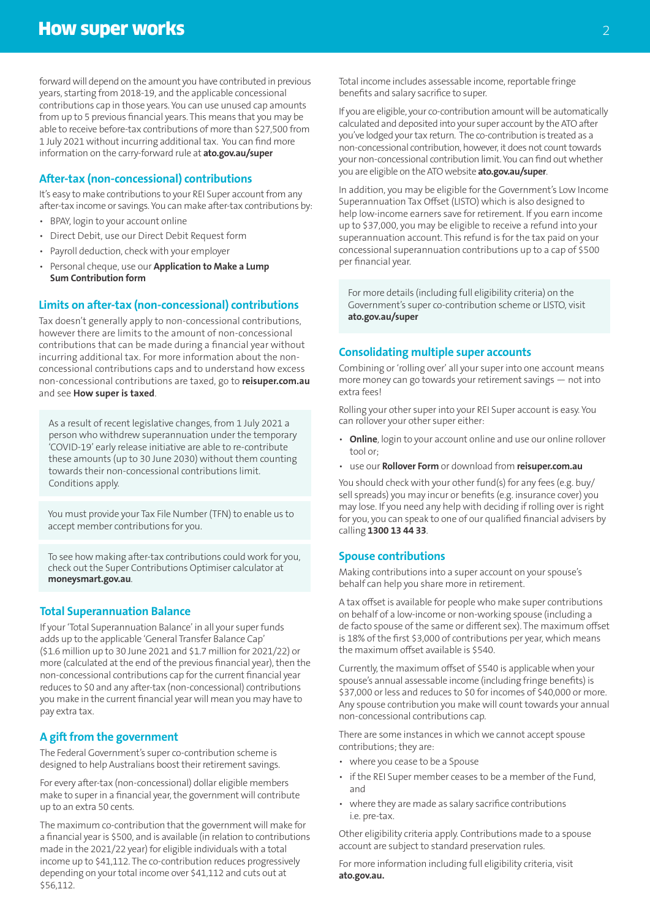forward will depend on the amount you have contributed in previous years, starting from 2018-19, and the applicable concessional contributions cap in those years. You can use unused cap amounts from up to 5 previous financial years. This means that you may be able to receive before-tax contributions of more than \$27,500 from 1 July 2021 without incurring additional tax. You can find more information on the carry-forward rule at **ato.gov.au/super**

#### **After-tax (non-concessional) contributions**

It's easy to make contributions to your REI Super account from any after-tax income or savings. You can make after-tax contributions by:

- BPAY, login to your account online
- Direct Debit, use our Direct Debit Request form
- Payroll deduction, check with your employer
- Personal cheque, use our **Application to Make a Lump Sum Contribution form**

#### **Limits on after-tax (non-concessional) contributions**

Tax doesn't generally apply to non-concessional contributions, however there are limits to the amount of non-concessional contributions that can be made during a financial year without incurring additional tax. For more information about the nonconcessional contributions caps and to understand how excess non-concessional contributions are taxed, go to **reisuper.com.au** and see **How super is taxed**.

As a result of recent legislative changes, from 1 July 2021 a person who withdrew superannuation under the temporary 'COVID-19' early release initiative are able to re-contribute these amounts (up to 30 June 2030) without them counting towards their non-concessional contributions limit. Conditions apply.

You must provide your Tax File Number (TFN) to enable us to accept member contributions for you.

To see how making after-tax contributions could work for you, check out the Super Contributions Optimiser calculator at **moneysmart.gov.au**.

#### **Total Superannuation Balance**

If your 'Total Superannuation Balance' in all your super funds adds up to the applicable 'General Transfer Balance Cap' (\$1.6 million up to 30 June 2021 and \$1.7 million for 2021/22) or more (calculated at the end of the previous financial year), then the non-concessional contributions cap for the current financial year reduces to \$0 and any after-tax (non-concessional) contributions you make in the current financial year will mean you may have to pay extra tax.

#### **A gift from the government**

The Federal Government's super co-contribution scheme is designed to help Australians boost their retirement savings.

For every after-tax (non-concessional) dollar eligible members make to super in a financial year, the government will contribute up to an extra 50 cents.

The maximum co-contribution that the government will make for a financial year is \$500, and is available (in relation to contributions made in the 2021/22 year) for eligible individuals with a total income up to \$41,112. The co-contribution reduces progressively depending on your total income over \$41,112 and cuts out at \$56,112.

Total income includes assessable income, reportable fringe benefits and salary sacrifice to super.

If you are eligible, your co-contribution amount will be automatically calculated and deposited into your super account by the ATO after you've lodged your tax return. The co-contribution is treated as a non-concessional contribution, however, it does not count towards your non-concessional contribution limit. You can find out whether you are eligible on the ATO website **ato.gov.au/super**.

In addition, you may be eligible for the Government's Low Income Superannuation Tax Offset (LISTO) which is also designed to help low-income earners save for retirement. If you earn income up to \$37,000, you may be eligible to receive a refund into your superannuation account. This refund is for the tax paid on your concessional superannuation contributions up to a cap of \$500 per financial year.

For more details (including full eligibility criteria) on the Government's super co-contribution scheme or LISTO, visit **ato.gov.au/super**

#### **Consolidating multiple super accounts**

Combining or 'rolling over' all your super into one account means more money can go towards your retirement savings — not into extra fees!

Rolling your other super into your REI Super account is easy. You can rollover your other super either:

- **Online**, login to your account online and use our online rollover tool or;
- use our **Rollover Form** or download from **reisuper.com.au**

You should check with your other fund(s) for any fees (e.g. buy/ sell spreads) you may incur or benefits (e.g. insurance cover) you may lose. If you need any help with deciding if rolling over is right for you, you can speak to one of our qualified financial advisers by calling **1300 13 44 33**.

#### **Spouse contributions**

Making contributions into a super account on your spouse's behalf can help you share more in retirement.

A tax offset is available for people who make super contributions on behalf of a low-income or non-working spouse (including a de facto spouse of the same or different sex). The maximum offset is 18% of the first \$3,000 of contributions per year, which means the maximum offset available is \$540.

Currently, the maximum offset of \$540 is applicable when your spouse's annual assessable income (including fringe benefits) is \$37,000 or less and reduces to \$0 for incomes of \$40,000 or more. Any spouse contribution you make will count towards your annual non-concessional contributions cap.

There are some instances in which we cannot accept spouse contributions; they are:

- where you cease to be a Spouse
- if the REI Super member ceases to be a member of the Fund, and
- where they are made as salary sacrifice contributions i.e. pre-tax.

Other eligibility criteria apply. Contributions made to a spouse account are subject to standard preservation rules.

For more information including full eligibility criteria, visit **ato.gov.au.**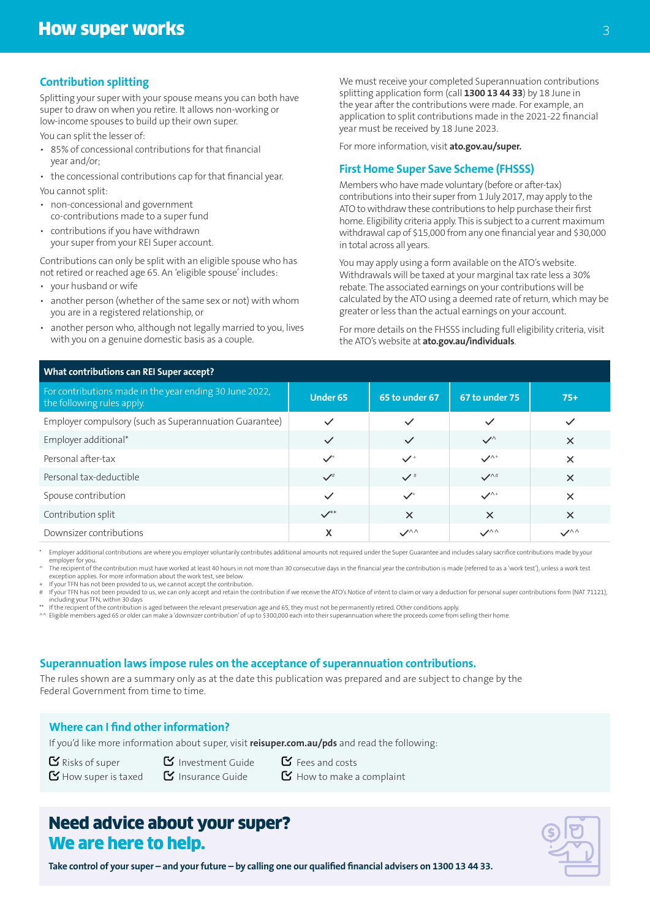#### **Contribution splitting**

Splitting your super with your spouse means you can both have super to draw on when you retire. It allows non-working or low-income spouses to build up their own super.

You can split the lesser of:

- 85% of concessional contributions for that financial year and/or;
- the concessional contributions cap for that financial year. You cannot split:
- non-concessional and government co-contributions made to a super fund
- contributions if you have withdrawn your super from your REI Super account.

Contributions can only be split with an eligible spouse who has not retired or reached age 65. An 'eligible spouse' includes:

- your husband or wife
- another person (whether of the same sex or not) with whom you are in a registered relationship, or
- another person who, although not legally married to you, lives with you on a genuine domestic basis as a couple.

We must receive your completed Superannuation contributions splitting application form (call **1300 13 44 33**) by 18 June in the year after the contributions were made. For example, an application to split contributions made in the 2021-22 financial year must be received by 18 June 2023.

For more information, visit **ato.gov.au/super.**

#### **First Home Super Save Scheme (FHSSS)**

Members who have made voluntary (before or after-tax) contributions into their super from 1 July 2017, may apply to the ATO to withdraw these contributions to help purchase their first home. Eligibility criteria apply. This is subject to a current maximum withdrawal cap of \$15,000 from any one financial year and \$30,000 in total across all years.

You may apply using a form available on the ATO's website. Withdrawals will be taxed at your marginal tax rate less a 30% rebate. The associated earnings on your contributions will be calculated by the ATO using a deemed rate of return, which may be greater or less than the actual earnings on your account.

For more details on the FHSSS including full eligibility criteria, visit the ATO's website at **ato.gov.au/individuals**.

| <b>What contributions can REI Super accept?</b>                                       |                    |                |                              |               |
|---------------------------------------------------------------------------------------|--------------------|----------------|------------------------------|---------------|
| For contributions made in the year ending 30 June 2022,<br>the following rules apply. | <b>Under 65</b>    | 65 to under 67 | 67 to under 75               | $75+$         |
| Employer compulsory (such as Superannuation Guarantee)                                | $\checkmark$       | $\checkmark$   | $\checkmark$                 | $\checkmark$  |
| Employer additional*                                                                  | $\checkmark$       | $\checkmark$   | $\checkmark$                 | $\times$      |
| Personal after-tax                                                                    | $\checkmark$       | $\checkmark$   | $\checkmark$                 | $\times$      |
| Personal tax-deductible                                                               | $\checkmark$       | $\checkmark$   | $\mathcal{V}^{\wedge\#}$     | $\times$      |
| Spouse contribution                                                                   | $\checkmark$       | $\checkmark$   | $\mathcal{N}^+$              | $\times$      |
| Contribution split                                                                    | $\mathcal{V}^{**}$ | $\times$       | $\times$                     | $\times$      |
| Downsizer contributions                                                               | X                  | $\mathcal{S}$  | $\mathcal{S}^{\wedge\wedge}$ | $\mathcal{S}$ |

Employer additional contributions are where you employer voluntarily contributes additional amounts not required under the Super Guarantee and includes salary sacrifice contributions made by your employer for you.

The recipient of the contribution must have worked at least 40 hours in not more than 30 consecutive days in the financial year the contribution is made (referred to as a 'work test'), unless a work test exception applies. For more information about the work test, see below.

+ If your TFN has not been provided to us, we cannot accept the contribution.<br># If your TFN has not been provided to us, we can only accept and retain the contribution if we receive the ATO's Notice of intent to claim or v including your TFN, within 30 days

\*\* If the recipient of the contribution is aged between the relevant preservation age and 65, they must not be permanently retired. Other conditions apply.<br>^^ Eligible members aged 65 or older can make a 'downsizer contrib

#### **Superannuation laws impose rules on the acceptance of superannuation contributions.**

The rules shown are a summary only as at the date this publication was prepared and are subject to change by the Federal Government from time to time.

## **Where can I find other information?**

If you'd like more information about super, visit **reisuper.com.au/pds** and read the following:

- $\mathbf{Y}$  Risks of super  $\mathbf{Y}$  Investment Guide  $\mathbf{Y}$  Fees and costs
- $\mathbf F$  How super is taxed  $\mathbf F$  Insurance Guide  $\mathbf F$  How to make a complaint

## Need advice about your super? We are here to help.

**Take control of your super – and your future – by calling one our qualified financial advisers on 1300 13 44 33.**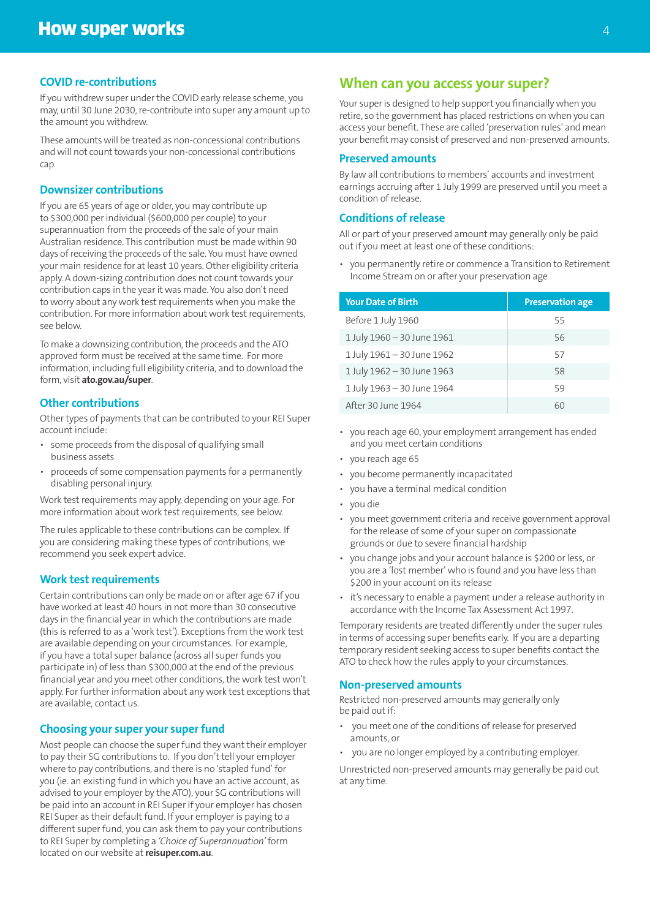#### **COVID re-contributions**

If you withdrew super under the COVID early release scheme, you may, until 30 June 2030, re-contribute into super any amount up to the amount you withdrew.

These amounts will be treated as non-concessional contributions and will not count towards your non-concessional contributions cap.

#### **Downsizer contributions**

If you are 65 years of age or older, you may contribute up to \$300,000 per individual (\$600,000 per couple) to your superannuation from the proceeds of the sale of your main Australian residence. This contribution must be made within 90 days of receiving the proceeds of the sale. You must have owned your main residence for at least 10 years. Other eligibility criteria apply. A down-sizing contribution does not count towards your contribution caps in the year it was made. You also don't need to worry about any work test requirements when you make the contribution. For more information about work test requirements, see below.

To make a downsizing contribution, the proceeds and the ATO approved form must be received at the same time. For more information, including full eligibility criteria, and to download the form, visit **ato.gov.au/super**.

#### **Other contributions**

Other types of payments that can be contributed to your REI Super account include:

- some proceeds from the disposal of qualifying small business assets
- proceeds of some compensation payments for a permanently disabling personal injury.

Work test requirements may apply, depending on your age. For more information about work test requirements, see below.

The rules applicable to these contributions can be complex. If you are considering making these types of contributions, we recommend you seek expert advice.

#### **Work test requirements**

Certain contributions can only be made on or after age 67 if you have worked at least 40 hours in not more than 30 consecutive days in the financial year in which the contributions are made (this is referred to as a 'work test'). Exceptions from the work test are available depending on your circumstances. For example, if you have a total super balance (across all super funds you participate in) of less than \$300,000 at the end of the previous financial year and you meet other conditions, the work test won't apply. For further information about any work test exceptions that are available, contact us.

#### **Choosing your super your super fund**

Most people can choose the super fund they want their employer to pay their SG contributions to. If you don't tell your employer where to pay contributions, and there is no 'stapled fund' for you (ie. an existing fund in which you have an active account, as advised to your employer by the ATO), your SG contributions will be paid into an account in REI Super if your employer has chosen REI Super as their default fund. If your employer is paying to a different super fund, you can ask them to pay your contributions to REI Super by completing a *'Choice of Superannuation'* form located on our website at **reisuper.com.au**.

#### **When can you access your super?**

Your super is designed to help support you financially when you retire, so the government has placed restrictions on when you can access your benefit. These are called 'preservation rules' and mean your benefit may consist of preserved and non-preserved amounts.

#### **Preserved amounts**

By law all contributions to members' accounts and investment earnings accruing after 1 July 1999 are preserved until you meet a condition of release.

#### **Conditions of release**

All or part of your preserved amount may generally only be paid out if you meet at least one of these conditions:

• you permanently retire or commence a Transition to Retirement Income Stream on or after your preservation age

| <b>Your Date of Birth</b>  | <b>Preservation age</b> |
|----------------------------|-------------------------|
| Before 1 July 1960         | 55                      |
| 1 July 1960 - 30 June 1961 | 56                      |
| 1 July 1961 - 30 June 1962 | 57                      |
| 1 July 1962 - 30 June 1963 | 58                      |
| 1 July 1963 - 30 June 1964 | 59                      |
| After 30 June 1964         | 60                      |

- you reach age 60, your employment arrangement has ended and you meet certain conditions
- you reach age 65
- you become permanently incapacitated
- you have a terminal medical condition
- you die
- you meet government criteria and receive government approval for the release of some of your super on compassionate grounds or due to severe financial hardship
- you change jobs and your account balance is \$200 or less, or you are a 'lost member' who is found and you have less than \$200 in your account on its release
- it's necessary to enable a payment under a release authority in accordance with the Income Tax Assessment Act 1997.

Temporary residents are treated differently under the super rules in terms of accessing super benefits early. If you are a departing temporary resident seeking access to super benefits contact the ATO to check how the rules apply to your circumstances.

#### **Non-preserved amounts**

Restricted non-preserved amounts may generally only be paid out if:

- you meet one of the conditions of release for preserved amounts, or
- you are no longer employed by a contributing employer.

Unrestricted non-preserved amounts may generally be paid out at any time.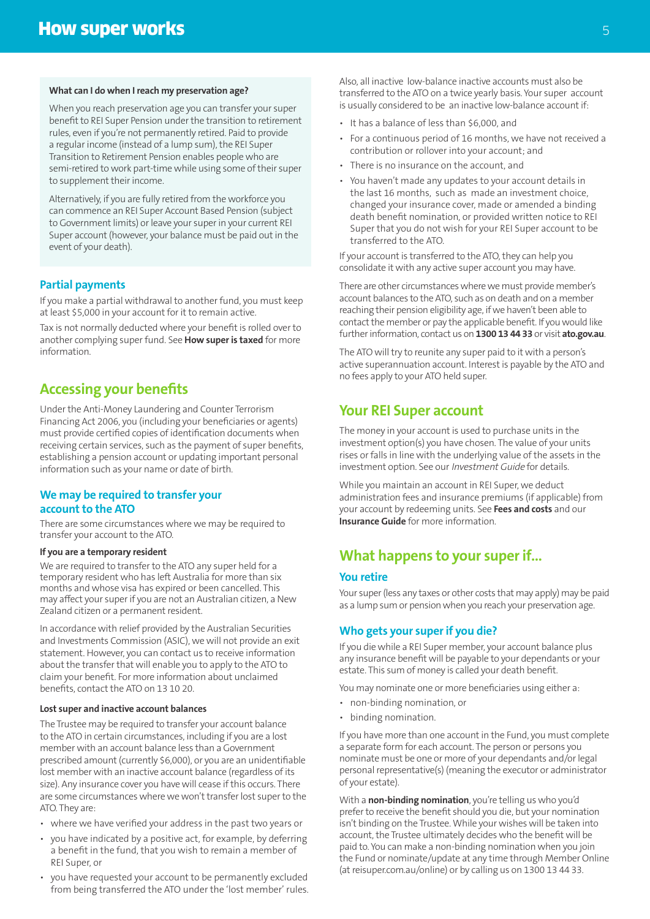#### **What can I do when I reach my preservation age?**

When you reach preservation age you can transfer your super benefit to REI Super Pension under the transition to retirement rules, even if you're not permanently retired. Paid to provide a regular income (instead of a lump sum), the REI Super Transition to Retirement Pension enables people who are semi-retired to work part-time while using some of their super to supplement their income.

Alternatively, if you are fully retired from the workforce you can commence an REI Super Account Based Pension (subject to Government limits) or leave your super in your current REI Super account (however, your balance must be paid out in the event of your death).

#### **Partial payments**

If you make a partial withdrawal to another fund, you must keep at least \$5,000 in your account for it to remain active.

Tax is not normally deducted where your benefit is rolled over to another complying super fund. See **How super is taxed** for more information.

#### **Accessing your benefits**

Under the Anti-Money Laundering and Counter Terrorism Financing Act 2006, you (including your beneficiaries or agents) must provide certified copies of identification documents when receiving certain services, such as the payment of super benefits, establishing a pension account or updating important personal information such as your name or date of birth.

#### **We may be required to transfer your account to the ATO**

There are some circumstances where we may be required to transfer your account to the ATO.

#### **If you are a temporary resident**

We are required to transfer to the ATO any super held for a temporary resident who has left Australia for more than six months and whose visa has expired or been cancelled. This may affect your super if you are not an Australian citizen, a New Zealand citizen or a permanent resident.

In accordance with relief provided by the Australian Securities and Investments Commission (ASIC), we will not provide an exit statement. However, you can contact us to receive information about the transfer that will enable you to apply to the ATO to claim your benefit. For more information about unclaimed benefits, contact the ATO on 13 10 20.

#### **Lost super and inactive account balances**

The Trustee may be required to transfer your account balance to the ATO in certain circumstances, including if you are a lost member with an account balance less than a Government prescribed amount (currently \$6,000), or you are an unidentifiable lost member with an inactive account balance (regardless of its size). Any insurance cover you have will cease if this occurs. There are some circumstances where we won't transfer lost super to the ATO. They are:

- where we have verified your address in the past two years or
- you have indicated by a positive act, for example, by deferring a benefit in the fund, that you wish to remain a member of REI Super, or
- you have requested your account to be permanently excluded from being transferred the ATO under the 'lost member' rules.

Also, all inactive low-balance inactive accounts must also be transferred to the ATO on a twice yearly basis. Your super account is usually considered to be an inactive low-balance account if:

- It has a balance of less than \$6,000, and
- For a continuous period of 16 months, we have not received a contribution or rollover into your account; and
- There is no insurance on the account, and
- You haven't made any updates to your account details in the last 16 months, such as made an investment choice, changed your insurance cover, made or amended a binding death benefit nomination, or provided written notice to REI Super that you do not wish for your REI Super account to be transferred to the ATO.

If your account is transferred to the ATO, they can help you consolidate it with any active super account you may have.

There are other circumstances where we must provide member's account balances to the ATO, such as on death and on a member reaching their pension eligibility age, if we haven't been able to contact the member or pay the applicable benefit. If you would like further information, contact us on **1300 13 44 33** or visit **ato.gov.au**.

The ATO will try to reunite any super paid to it with a person's active superannuation account. Interest is payable by the ATO and no fees apply to your ATO held super.

#### **Your REI Super account**

The money in your account is used to purchase units in the investment option(s) you have chosen. The value of your units rises or falls in line with the underlying value of the assets in the investment option. See our Investment Guide for details.

While you maintain an account in REI Super, we deduct administration fees and insurance premiums (if applicable) from your account by redeeming units. See **Fees and costs** and our **Insurance Guide** for more information.

#### **What happens to your super if...**

#### **You retire**

Your super (less any taxes or other costs that may apply) may be paid as a lump sum or pension when you reach your preservation age.

#### **Who gets your super if you die?**

If you die while a REI Super member, your account balance plus any insurance benefit will be payable to your dependants or your estate. This sum of money is called your death benefit.

You may nominate one or more beneficiaries using either a:

- non-binding nomination, or
- binding nomination.

If you have more than one account in the Fund, you must complete a separate form for each account. The person or persons you nominate must be one or more of your dependants and/or legal personal representative(s) (meaning the executor or administrator of your estate).

With a **non-binding nomination**, you're telling us who you'd prefer to receive the benefit should you die, but your nomination isn't binding on the Trustee. While your wishes will be taken into account, the Trustee ultimately decides who the benefit will be paid to. You can make a non-binding nomination when you join the Fund or nominate/update at any time through Member Online (at reisuper.com.au/online) or by calling us on 1300 13 44 33.